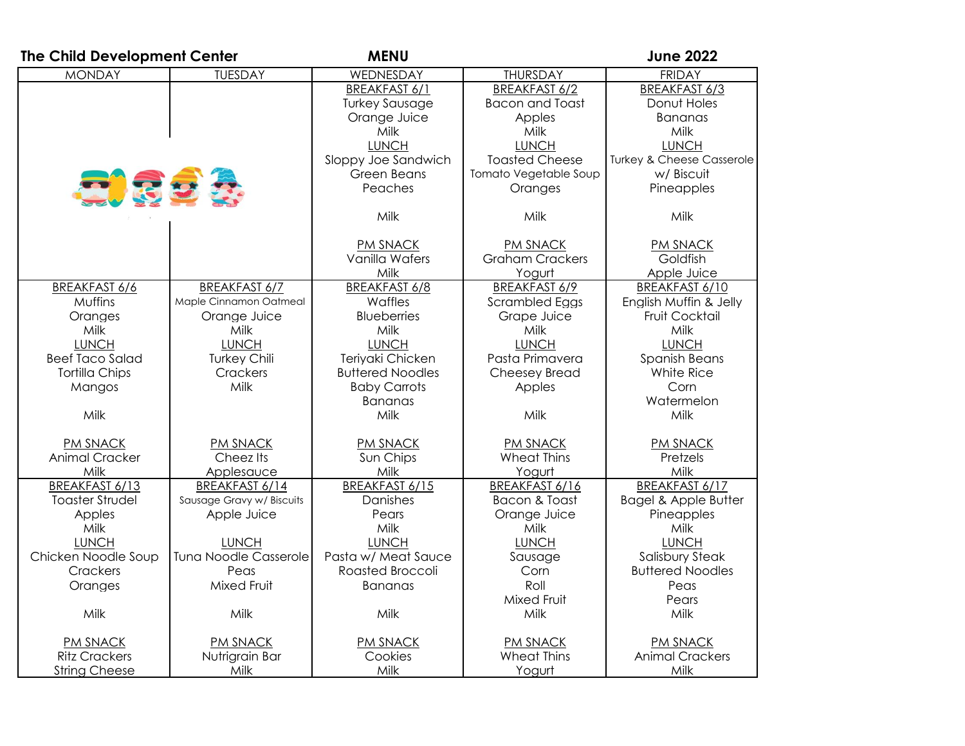| The Child Development Center |                              | <b>MENU</b>             |                        | <b>June 2022</b>                     |
|------------------------------|------------------------------|-------------------------|------------------------|--------------------------------------|
| <b>MONDAY</b>                | <b>TUESDAY</b>               | WEDNESDAY               | <b>THURSDAY</b>        | <b>FRIDAY</b>                        |
|                              |                              | <b>BREAKFAST 6/1</b>    | <b>BREAKFAST 6/2</b>   | BREAKFAST 6/3                        |
|                              |                              | <b>Turkey Sausage</b>   | <b>Bacon and Toast</b> | Donut Holes                          |
|                              |                              | Orange Juice            | Apples                 | <b>Bananas</b>                       |
|                              |                              | Milk                    | Milk                   | Milk                                 |
|                              |                              | <b>LUNCH</b>            | <b>LUNCH</b>           | <b>LUNCH</b>                         |
|                              |                              | Sloppy Joe Sandwich     | <b>Toasted Cheese</b>  | <b>Turkey &amp; Cheese Casserole</b> |
|                              |                              | Green Beans             | Tomato Vegetable Soup  | w/ Biscuit                           |
| 2. 32                        |                              | Peaches                 | Oranges                | Pineapples                           |
|                              |                              | Milk                    | Milk                   | Milk                                 |
|                              |                              | <b>PM SNACK</b>         | <b>PM SNACK</b>        | <b>PM SNACK</b>                      |
|                              |                              | Vanilla Wafers          | <b>Graham Crackers</b> | Goldfish                             |
|                              |                              | Milk                    | Yogurt                 | Apple Juice                          |
| BREAKFAST 6/6                | <b>BREAKFAST 6/7</b>         | <b>BREAKFAST 6/8</b>    | BREAKFAST 6/9          | BREAKFAST 6/10                       |
| <b>Muffins</b>               | Maple Cinnamon Oatmeal       | Waffles                 | Scrambled Eggs         | English Muffin & Jelly               |
| Oranges                      | Orange Juice                 | <b>Blueberries</b>      | Grape Juice            | Fruit Cocktail                       |
| Milk                         | Milk                         | Milk                    | Milk                   | Milk                                 |
| <b>LUNCH</b>                 | <b>LUNCH</b>                 | <b>LUNCH</b>            | <b>LUNCH</b>           | <b>LUNCH</b>                         |
| <b>Beef Taco Salad</b>       | <b>Turkey Chili</b>          | Teriyaki Chicken        | Pasta Primavera        | Spanish Beans                        |
| <b>Tortilla Chips</b>        | Crackers                     | <b>Buttered Noodles</b> | Cheesey Bread          | White Rice                           |
| Mangos                       | Milk                         | <b>Baby Carrots</b>     | Apples                 | Corn                                 |
|                              |                              | <b>Bananas</b>          |                        | Watermelon                           |
| Milk                         |                              | Milk                    | Milk                   | Milk                                 |
| <b>PM SNACK</b>              | <b>PM SNACK</b>              | <b>PM SNACK</b>         | <b>PM SNACK</b>        | <b>PM SNACK</b>                      |
| <b>Animal Cracker</b>        | Cheez Its                    | Sun Chips               | <b>Wheat Thins</b>     | Pretzels                             |
| Milk                         | Applesauce                   | Milk                    | Yogurt                 | Milk                                 |
| BREAKFAST 6/13               | BREAKFAST 6/14               | BREAKFAST 6/15          | BREAKFAST 6/16         | BREAKFAST 6/17                       |
| <b>Toaster Strudel</b>       | Sausage Gravy w/ Biscuits    | Danishes                | Bacon & Toast          | <b>Bagel &amp; Apple Butter</b>      |
| Apples                       | Apple Juice                  | Pears                   | Orange Juice           | Pineapples                           |
| Milk                         |                              | Milk                    | Milk                   | Milk                                 |
| <b>LUNCH</b>                 | <b>LUNCH</b>                 | <b>LUNCH</b>            | <b>LUNCH</b>           | <b>LUNCH</b>                         |
| Chicken Noodle Soup          | <b>Tuna Noodle Casserole</b> | Pasta w/ Meat Sauce     | Sausage                | <b>Salisbury Steak</b>               |
| Crackers                     | Peas                         | Roasted Broccoli        | Corn                   | <b>Buttered Noodles</b>              |
| Oranges                      | Mixed Fruit                  | <b>Bananas</b>          | Roll                   | Peas                                 |
|                              |                              |                         | Mixed Fruit            | Pears                                |
| Milk                         | Milk                         | Milk                    | Milk                   | Milk                                 |
| <b>PM SNACK</b>              | <b>PM SNACK</b>              | <b>PM SNACK</b>         | <b>PM SNACK</b>        | PM SNACK                             |
| <b>Ritz Crackers</b>         | Nutrigrain Bar               | Cookies                 | Wheat Thins            | <b>Animal Crackers</b>               |
| <b>String Cheese</b>         | Milk                         | Milk                    | Yogurt                 | Milk                                 |